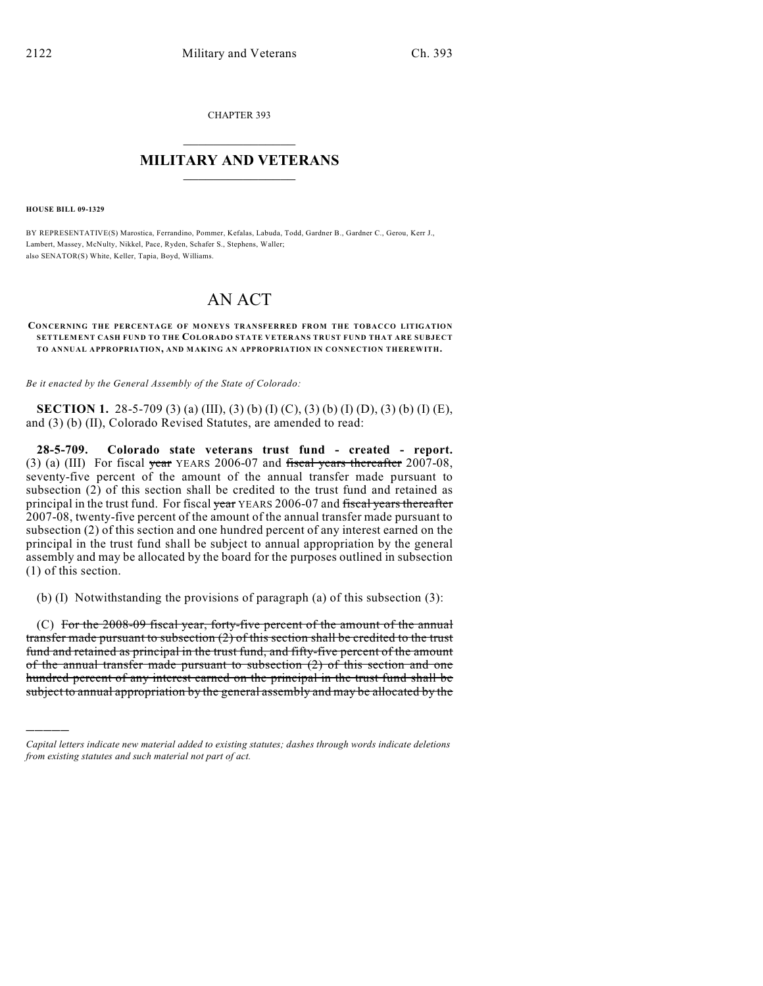CHAPTER 393  $\mathcal{L}_\text{max}$  . The set of the set of the set of the set of the set of the set of the set of the set of the set of the set of the set of the set of the set of the set of the set of the set of the set of the set of the set

## **MILITARY AND VETERANS**  $\_$

**HOUSE BILL 09-1329**

)))))

BY REPRESENTATIVE(S) Marostica, Ferrandino, Pommer, Kefalas, Labuda, Todd, Gardner B., Gardner C., Gerou, Kerr J., Lambert, Massey, McNulty, Nikkel, Pace, Ryden, Schafer S., Stephens, Waller; also SENATOR(S) White, Keller, Tapia, Boyd, Williams.

## AN ACT

## **CONCERNING THE PERCENTAGE OF MONEYS TRANSFERRED FROM THE TOBACCO LITIGATION SETTLEMENT CASH FUND TO THE COLORADO STATE VETERANS TRUST FUND THAT ARE SUBJECT TO ANNUAL APPROPRIATION, AND MAKING AN APPROPRIATION IN CONNECTION THEREWITH.**

*Be it enacted by the General Assembly of the State of Colorado:*

**SECTION 1.** 28-5-709 (3) (a) (III), (3) (b) (I) (C), (3) (b) (I) (D), (3) (b) (I) (E), and (3) (b) (II), Colorado Revised Statutes, are amended to read:

**28-5-709. Colorado state veterans trust fund - created - report.** (3) (a) (III) For fiscal year YEARS 2006-07 and fiscal years thereafter 2007-08, seventy-five percent of the amount of the annual transfer made pursuant to subsection (2) of this section shall be credited to the trust fund and retained as principal in the trust fund. For fiscal year YEARS 2006-07 and fiscal years thereafter 2007-08, twenty-five percent of the amount of the annual transfer made pursuant to subsection (2) of this section and one hundred percent of any interest earned on the principal in the trust fund shall be subject to annual appropriation by the general assembly and may be allocated by the board for the purposes outlined in subsection (1) of this section.

(b) (I) Notwithstanding the provisions of paragraph (a) of this subsection (3):

(C) For the 2008-09 fiscal year, forty-five percent of the amount of the annual transfer made pursuant to subsection (2) of this section shall be credited to the trust fund and retained as principal in the trust fund, and fifty-five percent of the amount of the annual transfer made pursuant to subsection (2) of this section and one hundred percent of any interest earned on the principal in the trust fund shall be subject to annual appropriation by the general assembly and may be allocated by the

*Capital letters indicate new material added to existing statutes; dashes through words indicate deletions from existing statutes and such material not part of act.*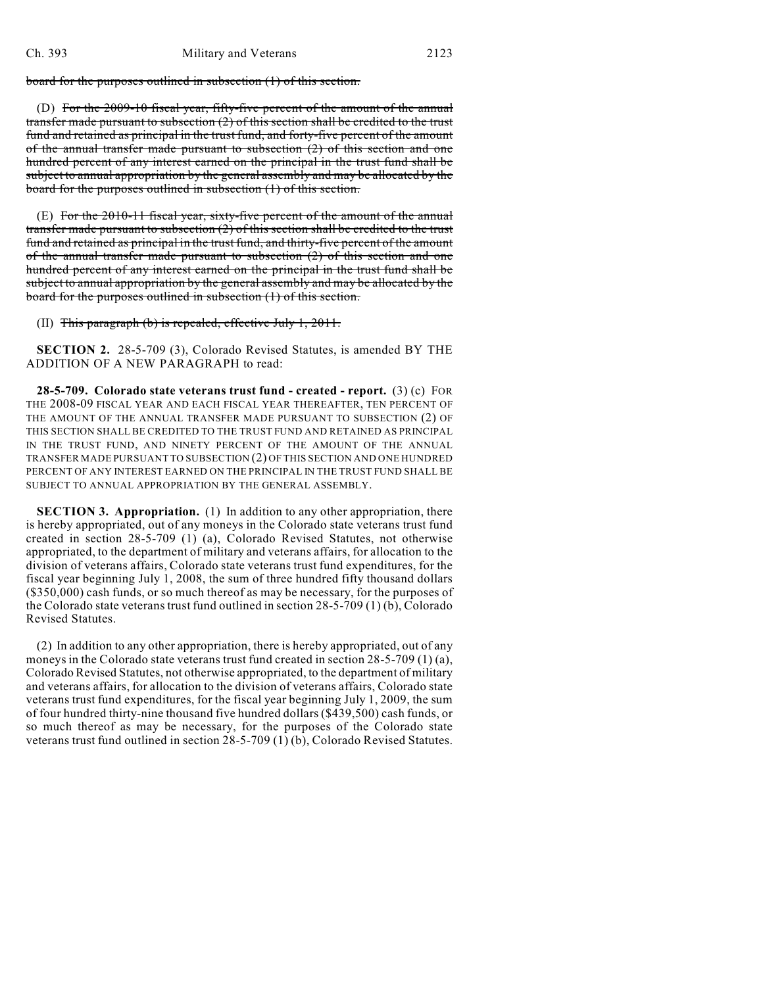board for the purposes outlined in subsection (1) of this section.

(D) For the 2009-10 fiscal year, fifty-five percent of the amount of the annual transfer made pursuant to subsection (2) of this section shall be credited to the trust fund and retained as principal in the trust fund, and forty-five percent of the amount of the annual transfer made pursuant to subsection (2) of this section and one hundred percent of any interest earned on the principal in the trust fund shall be subject to annual appropriation by the general assembly and may be allocated by the board for the purposes outlined in subsection (1) of this section.

(E) For the 2010-11 fiscal year, sixty-five percent of the amount of the annual transfer made pursuant to subsection (2) of this section shall be credited to the trust fund and retained as principal in the trust fund, and thirty-five percent of the amount of the annual transfer made pursuant to subsection (2) of this section and one hundred percent of any interest earned on the principal in the trust fund shall be subject to annual appropriation by the general assembly and may be allocated by the board for the purposes outlined in subsection (1) of this section.

(II) This paragraph (b) is repealed, effective July 1, 2011.

**SECTION 2.** 28-5-709 (3), Colorado Revised Statutes, is amended BY THE ADDITION OF A NEW PARAGRAPH to read:

**28-5-709. Colorado state veterans trust fund - created - report.** (3) (c) FOR THE 2008-09 FISCAL YEAR AND EACH FISCAL YEAR THEREAFTER, TEN PERCENT OF THE AMOUNT OF THE ANNUAL TRANSFER MADE PURSUANT TO SUBSECTION (2) OF THIS SECTION SHALL BE CREDITED TO THE TRUST FUND AND RETAINED AS PRINCIPAL IN THE TRUST FUND, AND NINETY PERCENT OF THE AMOUNT OF THE ANNUAL TRANSFER MADE PURSUANT TO SUBSECTION (2) OF THIS SECTION AND ONE HUNDRED PERCENT OF ANY INTEREST EARNED ON THE PRINCIPAL IN THE TRUST FUND SHALL BE SUBJECT TO ANNUAL APPROPRIATION BY THE GENERAL ASSEMBLY.

**SECTION 3. Appropriation.** (1) In addition to any other appropriation, there is hereby appropriated, out of any moneys in the Colorado state veterans trust fund created in section 28-5-709 (1) (a), Colorado Revised Statutes, not otherwise appropriated, to the department of military and veterans affairs, for allocation to the division of veterans affairs, Colorado state veterans trust fund expenditures, for the fiscal year beginning July 1, 2008, the sum of three hundred fifty thousand dollars (\$350,000) cash funds, or so much thereof as may be necessary, for the purposes of the Colorado state veterans trust fund outlined in section 28-5-709 (1) (b), Colorado Revised Statutes.

(2) In addition to any other appropriation, there is hereby appropriated, out of any moneys in the Colorado state veterans trust fund created in section 28-5-709 (1) (a), Colorado Revised Statutes, not otherwise appropriated, to the department of military and veterans affairs, for allocation to the division of veterans affairs, Colorado state veterans trust fund expenditures, for the fiscal year beginning July 1, 2009, the sum of four hundred thirty-nine thousand five hundred dollars (\$439,500) cash funds, or so much thereof as may be necessary, for the purposes of the Colorado state veterans trust fund outlined in section 28-5-709 (1) (b), Colorado Revised Statutes.